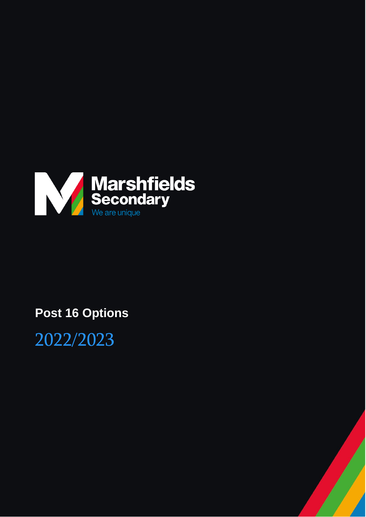

# **Post 16 Options**

2022/2023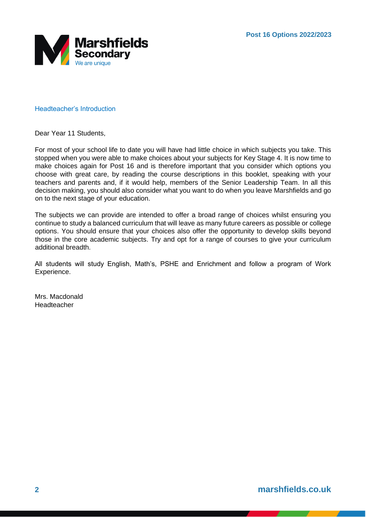

#### Headteacher's Introduction

Dear Year 11 Students,

For most of your school life to date you will have had little choice in which subjects you take. This stopped when you were able to make choices about your subjects for Key Stage 4. It is now time to make choices again for Post 16 and is therefore important that you consider which options you choose with great care, by reading the course descriptions in this booklet, speaking with your teachers and parents and, if it would help, members of the Senior Leadership Team. In all this decision making, you should also consider what you want to do when you leave Marshfields and go on to the next stage of your education.

The subjects we can provide are intended to offer a broad range of choices whilst ensuring you continue to study a balanced curriculum that will leave as many future careers as possible or college options. You should ensure that your choices also offer the opportunity to develop skills beyond those in the core academic subjects. Try and opt for a range of courses to give your curriculum additional breadth.

All students will study English, Math's, PSHE and Enrichment and follow a program of Work Experience.

Mrs. Macdonald Headteacher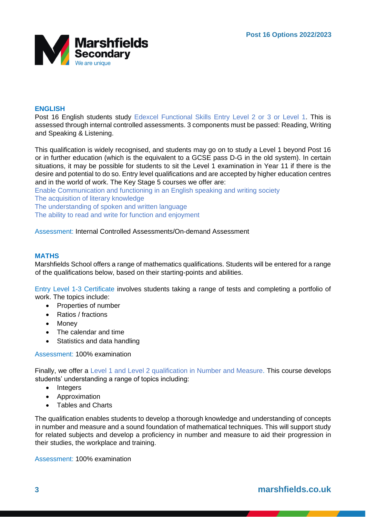

# **ENGLISH**

Post 16 English students study Edexcel Functional Skills Entry Level 2 or 3 or Level 1. This is assessed through internal controlled assessments. 3 components must be passed: Reading, Writing and Speaking & Listening.

This qualification is widely recognised, and students may go on to study a Level 1 beyond Post 16 or in further education (which is the equivalent to a GCSE pass D-G in the old system). In certain situations, it may be possible for students to sit the Level 1 examination in Year 11 if there is the desire and potential to do so. Entry level qualifications and are accepted by higher education centres and in the world of work. The Key Stage 5 courses we offer are:

Enable Communication and functioning in an English speaking and writing society The acquisition of literary knowledge The understanding of spoken and written language The ability to read and write for function and enjoyment

# Assessment: Internal Controlled Assessments/On-demand Assessment

# **MATHS**

Marshfields School offers a range of mathematics qualifications. Students will be entered for a range of the qualifications below, based on their starting-points and abilities.

Entry Level 1-3 Certificate involves students taking a range of tests and completing a portfolio of work. The topics include:

- Properties of number
- Ratios / fractions
- Money
- The calendar and time
- Statistics and data handling

# Assessment: 100% examination

Finally, we offer a Level 1 and Level 2 qualification in Number and Measure. This course develops students' understanding a range of topics including:

- Integers
- Approximation
- Tables and Charts

The qualification enables students to develop a thorough knowledge and understanding of concepts in number and measure and a sound foundation of mathematical techniques. This will support study for related subjects and develop a proficiency in number and measure to aid their progression in their studies, the workplace and training.

Assessment: 100% examination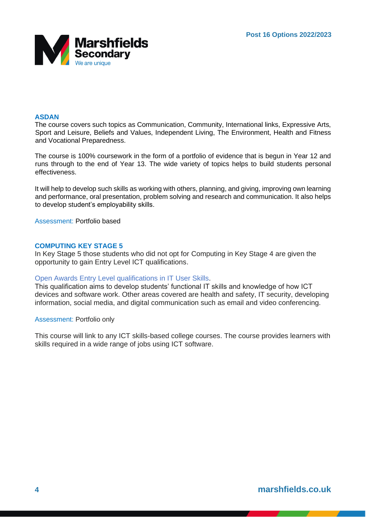

# **ASDAN**

The course covers such topics as Communication, Community, International links, Expressive Arts, Sport and Leisure, Beliefs and Values, Independent Living, The Environment, Health and Fitness and Vocational Preparedness.

The course is 100% coursework in the form of a portfolio of evidence that is begun in Year 12 and runs through to the end of Year 13. The wide variety of topics helps to build students personal effectiveness.

It will help to develop such skills as working with others, planning, and giving, improving own learning and performance, oral presentation, problem solving and research and communication. It also helps to develop student's employability skills.

Assessment: Portfolio based

# **COMPUTING KEY STAGE 5**

In Key Stage 5 those students who did not opt for Computing in Key Stage 4 are given the opportunity to gain Entry Level ICT qualifications.

# Open Awards Entry Level qualifications in IT User Skills.

This qualification aims to develop students' functional IT skills and knowledge of how ICT devices and software work. Other areas covered are health and safety, IT security, developing information, social media, and digital communication such as email and video conferencing.

Assessment: Portfolio only

This course will link to any ICT skills-based college courses. The course provides learners with skills required in a wide range of jobs using ICT software.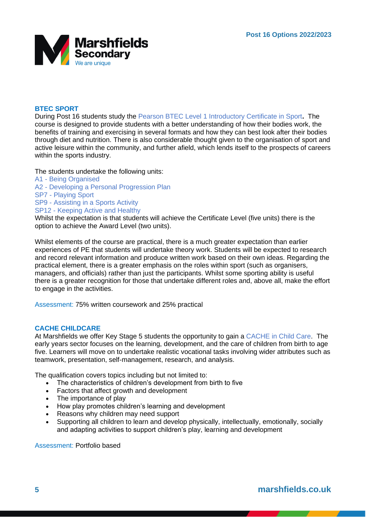

# **BTEC SPORT**

During Post 16 students study the Pearson BTEC Level 1 Introductory Certificate in Sport**.** The course is designed to provide students with a better understanding of how their bodies work, the benefits of training and exercising in several formats and how they can best look after their bodies through diet and nutrition. There is also considerable thought given to the organisation of sport and active leisure within the community, and further afield, which lends itself to the prospects of careers within the sports industry.

#### The students undertake the following units:

- A1 Being Organised
- A2 Developing a Personal Progression Plan
- SP7 Playing Sport
- SP9 Assisting in a Sports Activity
- SP12 Keeping Active and Healthy

Whilst the expectation is that students will achieve the Certificate Level (five units) there is the option to achieve the Award Level (two units).

Whilst elements of the course are practical, there is a much greater expectation than earlier experiences of PE that students will undertake theory work. Students will be expected to research and record relevant information and produce written work based on their own ideas. Regarding the practical element, there is a greater emphasis on the roles within sport (such as organisers, managers, and officials) rather than just the participants. Whilst some sporting ability is useful there is a greater recognition for those that undertake different roles and, above all, make the effort to engage in the activities.

Assessment: 75% written coursework and 25% practical

# **CACHE CHILDCARE**

At Marshfields we offer Key Stage 5 students the opportunity to gain a CACHE in Child Care. The early years sector focuses on the learning, development, and the care of children from birth to age five. Learners will move on to undertake realistic vocational tasks involving wider attributes such as teamwork, presentation, self-management, research, and analysis.

The qualification covers topics including but not limited to:

- The characteristics of children's development from birth to five
- Factors that affect growth and development
- The importance of play
- How play promotes children's learning and development
- Reasons why children may need support
- Supporting all children to learn and develop physically, intellectually, emotionally, socially and adapting activities to support children's play, learning and development

Assessment: Portfolio based

# **5 marshfields.co.uk**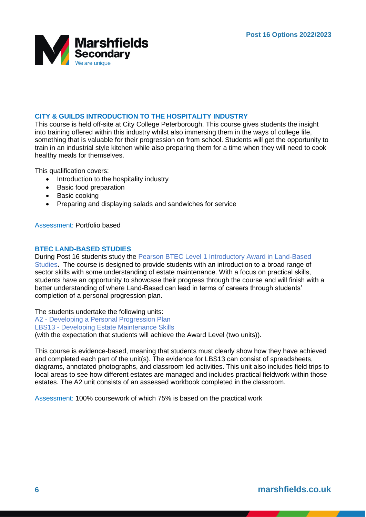

# **CITY & GUILDS INTRODUCTION TO THE HOSPITALITY INDUSTRY**

This course is held off-site at City College Peterborough. This course gives students the insight into training offered within this industry whilst also immersing them in the ways of college life, something that is valuable for their progression on from school. Students will get the opportunity to train in an industrial style kitchen while also preparing them for a time when they will need to cook healthy meals for themselves.

This qualification covers:

- Introduction to the hospitality industry
- Basic food preparation
- Basic cooking
- Preparing and displaying salads and sandwiches for service

Assessment: Portfolio based

# **BTEC LAND-BASED STUDIES**

During Post 16 students study the Pearson BTEC Level 1 Introductory Award in Land-Based Studies**.** The course is designed to provide students with an introduction to a broad range of sector skills with some understanding of estate maintenance. With a focus on practical skills, students have an opportunity to showcase their progress through the course and will finish with a better understanding of where Land-Based can lead in terms of careers through students' completion of a personal progression plan.

The students undertake the following units:

A2 - Developing a Personal Progression Plan

LBS13 - Developing Estate Maintenance Skills

(with the expectation that students will achieve the Award Level (two units)).

This course is evidence-based, meaning that students must clearly show how they have achieved and completed each part of the unit(s). The evidence for LBS13 can consist of spreadsheets, diagrams, annotated photographs, and classroom led activities. This unit also includes field trips to local areas to see how different estates are managed and includes practical fieldwork within those estates. The A2 unit consists of an assessed workbook completed in the classroom.

Assessment: 100% coursework of which 75% is based on the practical work

**6 marshfields.co.uk**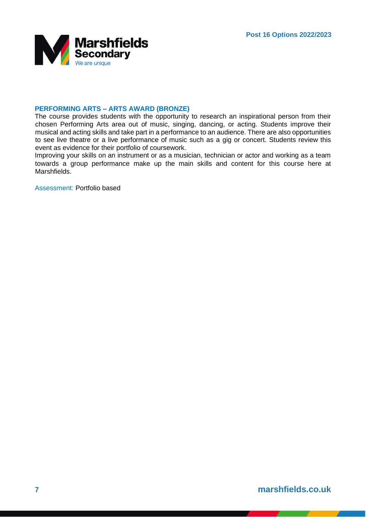

# **PERFORMING ARTS – ARTS AWARD (BRONZE)**

The course provides students with the opportunity to research an inspirational person from their chosen Performing Arts area out of music, singing, dancing, or acting. Students improve their musical and acting skills and take part in a performance to an audience. There are also opportunities to see live theatre or a live performance of music such as a gig or concert. Students review this event as evidence for their portfolio of coursework.

Improving your skills on an instrument or as a musician, technician or actor and working as a team towards a group performance make up the main skills and content for this course here at Marshfields.

Assessment: Portfolio based